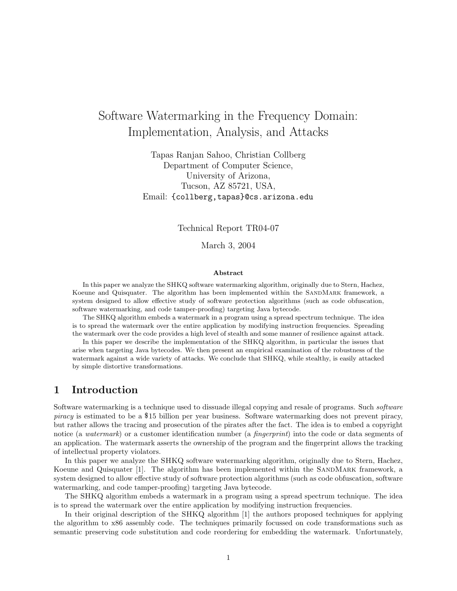# Software Watermarking in the Frequency Domain: Implementation, Analysis, and Attacks

Tapas Ranjan Sahoo, Christian Collberg Department of Computer Science, University of Arizona, Tucson, AZ 85721, USA, Email: {collberg,tapas}@cs.arizona.edu

Technical Report TR04-07

March 3, 2004

### Abstract

In this paper we analyze the SHKQ software watermarking algorithm, originally due to Stern, Hachez, Koeune and Quisquater. The algorithm has been implemented within the SANDMARK framework, a system designed to allow effective study of software protection algorithms (such as code obfuscation, software watermarking, and code tamper-proofing) targeting Java bytecode.

The SHKQ algorithm embeds a watermark in a program using a spread spectrum technique. The idea is to spread the watermark over the entire application by modifying instruction frequencies. Spreading the watermark over the code provides a high level of stealth and some manner of resilience against attack.

In this paper we describe the implementation of the SHKQ algorithm, in particular the issues that arise when targeting Java bytecodes. We then present an empirical examination of the robustness of the watermark against a wide variety of attacks. We conclude that SHKQ, while stealthy, is easily attacked by simple distortive transformations.

## 1 Introduction

Software watermarking is a technique used to dissuade illegal copying and resale of programs. Such software piracy is estimated to be a \$15 billion per year business. Software watermarking does not prevent piracy, but rather allows the tracing and prosecution of the pirates after the fact. The idea is to embed a copyright notice (a *watermark*) or a customer identification number (a *fingerprint*) into the code or data segments of an application. The watermark asserts the ownership of the program and the fingerprint allows the tracking of intellectual property violators.

In this paper we analyze the SHKQ software watermarking algorithm, originally due to Stern, Hachez. Koeune and Quisquater [1]. The algorithm has been implemented within the SANDMARK framework, a system designed to allow effective study of software protection algorithms (such as code obfuscation, software watermarking, and code tamper-proofing) targeting Java bytecode.

The SHKQ algorithm embeds a watermark in a program using a spread spectrum technique. The idea is to spread the watermark over the entire application by modifying instruction frequencies.

In their original description of the SHKQ algorithm [1] the authors proposed techniques for applying the algorithm to x86 assembly code. The techniques primarily focussed on code transformations such as semantic preserving code substitution and code reordering for embedding the watermark. Unfortunately,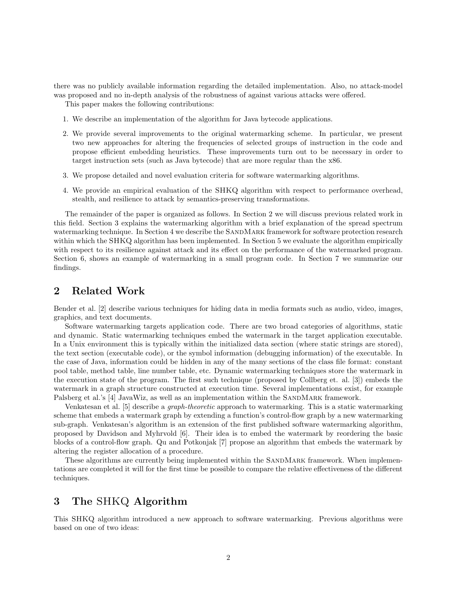there was no publicly available information regarding the detailed implementation. Also, no attack-model was proposed and no in-depth analysis of the robustness of against various attacks were offered.

This paper makes the following contributions:

- 1. We describe an implementation of the algorithm for Java bytecode applications.
- 2. We provide several improvements to the original watermarking scheme. In particular, we present two new approaches for altering the frequencies of selected groups of instruction in the code and propose efficient embedding heuristics. These improvements turn out to be necessary in order to target instruction sets (such as Java bytecode) that are more regular than the x86.
- 3. We propose detailed and novel evaluation criteria for software watermarking algorithms.
- 4. We provide an empirical evaluation of the SHKQ algorithm with respect to performance overhead, stealth, and resilience to attack by semantics-preserving transformations.

The remainder of the paper is organized as follows. In Section 2 we will discuss previous related work in this field. Section 3 explains the watermarking algorithm with a brief explanation of the spread spectrum watermarking technique. In Section 4 we describe the SANDMARK framework for software protection research within which the SHKQ algorithm has been implemented. In Section 5 we evaluate the algorithm empirically with respect to its resilience against attack and its effect on the performance of the watermarked program. Section 6, shows an example of watermarking in a small program code. In Section 7 we summarize our findings.

## 2 Related Work

Bender et al. [2] describe various techniques for hiding data in media formats such as audio, video, images, graphics, and text documents.

Software watermarking targets application code. There are two broad categories of algorithms, static and dynamic. Static watermarking techniques embed the watermark in the target application executable. In a Unix environment this is typically within the initialized data section (where static strings are stored), the text section (executable code), or the symbol information (debugging information) of the executable. In the case of Java, information could be hidden in any of the many sections of the class file format: constant pool table, method table, line number table, etc. Dynamic watermarking techniques store the watermark in the execution state of the program. The first such technique (proposed by Collberg et. al. [3]) embeds the watermark in a graph structure constructed at execution time. Several implementations exist, for example Palsberg et al.'s [4] JavaWiz, as well as an implementation within the SANDMARK framework.

Venkatesan et al. [5] describe a graph-theoretic approach to watermarking. This is a static watermarking scheme that embeds a watermark graph by extending a function's control-flow graph by a new watermarking sub-graph. Venkatesan's algorithm is an extension of the first published software watermarking algorithm, proposed by Davidson and Myhrvold [6]. Their idea is to embed the watermark by reordering the basic blocks of a control-flow graph. Qu and Potkonjak [7] propose an algorithm that embeds the watermark by altering the register allocation of a procedure.

These algorithms are currently being implemented within the SANDMARK framework. When implementations are completed it will for the first time be possible to compare the relative effectiveness of the different techniques.

## 3 The SHKQ Algorithm

This SHKQ algorithm introduced a new approach to software watermarking. Previous algorithms were based on one of two ideas: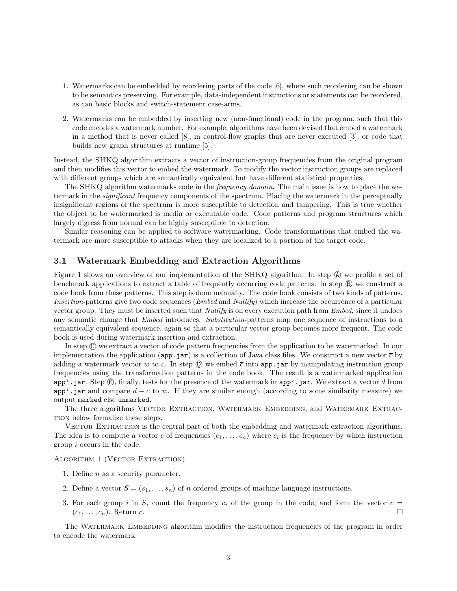- 1. Watermarks can be embedded by reordering parts of the code [6], where such reordering can be shown to be semantics preserving. For example, data-independent instructions or statements can be reordered, as can basic blocks and switch-statement case-arms.
- 2. Watermarks can be embedded by inserting new (non-functional) code in the program, such that this code encodes a watermark number. For example, algorithms have been devised that embed a watermark in a method that is never called [8], in control-flow graphs that are never executed [3], or code that builds new graph structures at runtime [5].

Instead, the SHKQ algorithm extracts a vector of instruction-group frequencies from the original program and then modifies this vector to embed the watermark. To modify the vector instruction groups are replaced with different groups which are semantically equivalent but have different statistical properties.

The SHKQ algorithm watermarks code in the *frequency domain*. The main issue is how to place the watermark in the significant frequency components of the spectrum. Placing the watermark in the perceptually insignificant regions of the spectrum is more susceptible to detection and tampering. This is true whether the object to be watermarked is media or executable code. Code patterns and program structures which largely digress from normal can be highly susceptible to detection.

Similar reasoning can be applied to software watermarking. Code transformations that embed the watermark are more susceptible to attacks when they are localized to a portion of the target code.

### 3.1 Watermark Embedding and Extraction Algorithms

Figure 1 shows an overview of our implementation of the SHKQ algorithm. In step  $\mathbb Q$  we profile a set of benchmark applications to extract a table of frequently occurring code patterns. In step B we construct a code book from these patterns. This step is done manually. The code book consists of two kinds of patterns. Insertion-patterns give two code sequences (Embed and Nullify) which increase the occurrence of a particular vector group. They must be inserted such that *Nullify* is on every execution path from *Embed*, since it undoes any semantic change that *Embed* introduces. Substitution-patterns map one sequence of instructions to a semantically equivalent sequence, again so that a particular vector group becomes more frequent. The code book is used during watermark insertion and extraction.

In step  $\mathbb{C}$  we extract a vector of code pattern frequencies from the application to be watermarked. In our implementation the application (app.jar) is a collection of Java class files. We construct a new vector  $\bar{c}$  by adding a watermark vector w to c. In step  $\overline{D}$  we embed  $\overline{c}$  into app. jar by manipulating instruction group frequencies using the transformation patterns in the code book. The result is a watermarked application app'.jar. Step  $\mathbb{E}$ , finally, tests for the presence of the watermark in app'.jar. We extract a vector d from  $app'.$  jar and compare  $d - c$  to w. If they are similar enough (according to some similarity measure) we output marked else unmarked.

The three algorithms VECTOR EXTRACTION, WATERMARK EMBEDDING, and WATERMARK EXTRACtion below formalize these steps.

VECTOR EXTRACTION is the central part of both the embedding and watermark extraction algorithms. The idea is to compute a vector c of frequencies  $(c_1, \ldots, c_n)$  where  $c_i$  is the frequency by which instruction group i occurs in the code:

### ALGORITHM 1 (VECTOR EXTRACTION)

- 1. Define n as a security parameter.
- 2. Define a vector  $S = (s_1, \ldots, s_n)$  of n ordered groups of machine language instructions.
- 3. For each group i in S, count the frequency  $c_i$  of the group in the code, and form the vector  $c =$  $(c_1, \ldots, c_n)$ . Return c.

The WATERMARK EMBEDDING algorithm modifies the instruction frequencies of the program in order to encode the watermark: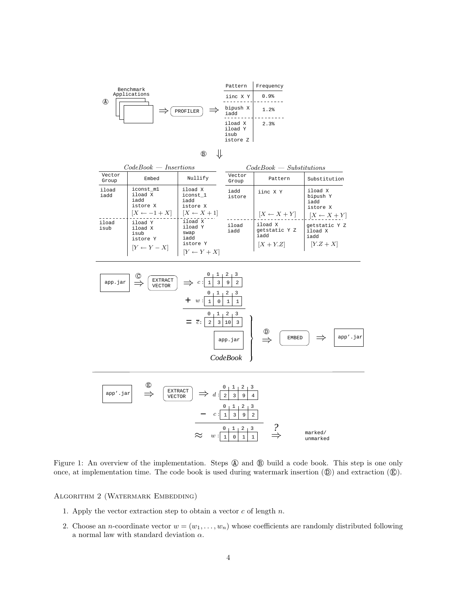

$$
\circledR \quad \biguplus
$$

|                 | $CodeBook - Insertions$                                             |                                                                          | $CodeBook = Substitutions$ |                                                 |                                                                   |  |
|-----------------|---------------------------------------------------------------------|--------------------------------------------------------------------------|----------------------------|-------------------------------------------------|-------------------------------------------------------------------|--|
| Vector<br>Group | Embed                                                               | Nullify                                                                  | Vector<br>Group            | Pattern                                         | Substitution                                                      |  |
| iload<br>iadd   | iconst ml<br>iload X<br>iadd<br>istore X<br>$ X \leftarrow -1 + X $ | iload X<br>iconst 1<br>bbai<br>istore X<br>$[X \leftarrow X + 1]$        | iadd<br>istore             | iinc X Y<br>$[X \leftarrow X + Y]$              | iload X<br>bipush Y<br>iadd<br>istore X<br>$[X \leftarrow X + Y]$ |  |
| iload<br>isub   | iload Y<br>iload X<br>isub<br>istore Y<br>$[Y \leftarrow Y - X]$    | iload X<br>iload Y<br>swap<br>iadd<br>istore Y<br>$[Y \leftarrow Y + X]$ | iload<br>iadd              | iload X<br>qetstatic Y Z<br>iadd<br>$[X + Y.Z]$ | qetstatic Y Z<br>iload X<br>iadd<br>$[Y.Z+X]$                     |  |



$$
\begin{array}{|c|c|c|c|c|}\n\hline\n\text{app': jar} & \Rightarrow & \text{ESTRACT} & \Rightarrow d: \boxed{2 \ 3 \ 9 \ 4} \\
\hline\n\text{VECTOR} & \Rightarrow d: \boxed{2 \ 3 \ 9 \ 4} \\
\hline\n& - c: \boxed{1 \ 3 \ 9 \ 2} \\
\hline\n& - \frac{0}{1 \ 1 \ 2 \ 3} \\
\hline\n& - \frac{0}{1 \ 1 \ 2 \ 3} \\
\hline\n& - \frac{0}{1 \ 1 \ 2 \ 1} \\
\hline\n& - \frac{0}{1 \ 1 \ 2 \ 3} \\
\hline\n& - \frac{0}{1 \ 1 \ 2 \ 3} \\
\hline\n& - \frac{0}{1 \ 1 \ 2 \ 3} \\
\hline\n& - \frac{0}{1 \ 1 \ 2 \ 3} \\
\hline\n& - \frac{0}{1 \ 1 \ 2 \ 3} \\
\hline\n& - \frac{0}{1 \ 1 \ 2 \ 3} \\
\hline\n& - \frac{0}{1 \ 1 \ 2 \ 3} \\
\hline\n& - \frac{0}{1 \ 1 \ 2 \ 3} \\
\hline\n& - \frac{0}{1 \ 1 \ 2 \ 3} \\
\hline\n& - \frac{0}{1 \ 1 \ 2 \ 3} \\
\hline\n& - \frac{0}{1 \ 1 \ 2 \ 3} \\
\hline\n& - \frac{0}{1 \ 1 \ 2 \ 3} \\
\hline\n& - \frac{0}{1 \ 1 \ 2 \ 3} \\
\hline\n& - \frac{0}{1 \ 1 \ 2 \ 3} \\
\hline\n& - \frac{0}{1 \ 1 \ 2 \ 3} \\
\hline\n& - \frac{0}{1 \ 1 \ 2 \ 3} \\
\hline\n& - \frac{0}{1 \ 1 \ 2 \ 3} \\
\hline\n& - \frac{0}{1 \ 1 \ 2 \ 3} \\
\hline\n& - \frac{0}{1 \ 1 \ 2 \ 3} \\
\hline\n& - \frac{0}{1 \ 1 \ 2 \ 3} \\
\hline\n& - \frac{0}{1 \ 1 \ 2 \ 3} \\
\hline\n& - \frac{0}{1 \ 1 \ 2 \ 3} \\
\hline\n& - \frac{0}{1 \ 1 \ 2 \ 3} \\
\hline\n& - \frac{0}{1
$$

Figure 1: An overview of the implementation. Steps  $\circledA$  and  $\circledB$  build a code book. This step is one only once, at implementation time. The code book is used during watermark insertion  $(\mathbb{D})$  and extraction  $(\mathbb{D})$ .

Algorithm 2 (Watermark Embedding)

- 1. Apply the vector extraction step to obtain a vector  $c$  of length  $n$ .
- 2. Choose an *n*-coordinate vector  $w = (w_1, \ldots, w_n)$  whose coefficients are randomly distributed following a normal law with standard deviation  $\alpha$ .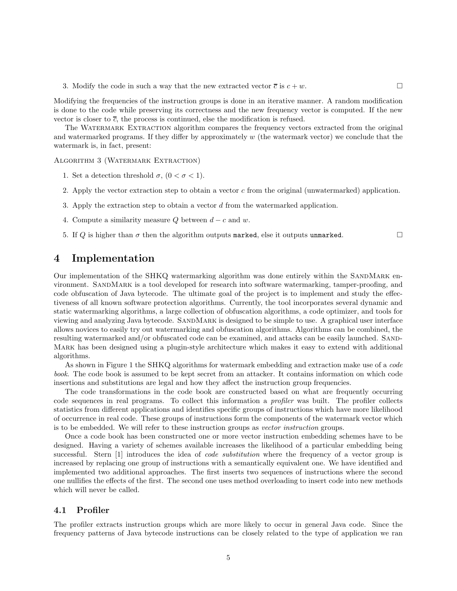3. Modify the code in such a way that the new extracted vector  $\overline{c}$  is  $c + w$ .

Modifying the frequencies of the instruction groups is done in an iterative manner. A random modification is done to the code while preserving its correctness and the new frequency vector is computed. If the new vector is closer to  $\overline{c}$ , the process is continued, else the modification is refused.

The WATERMARK EXTRACTION algorithm compares the frequency vectors extracted from the original and watermarked programs. If they differ by approximately  $w$  (the watermark vector) we conclude that the watermark is, in fact, present:

Algorithm 3 (Watermark Extraction)

- 1. Set a detection threshold  $\sigma$ ,  $(0 < \sigma < 1)$ .
- 2. Apply the vector extraction step to obtain a vector c from the original (unwatermarked) application.
- 3. Apply the extraction step to obtain a vector d from the watermarked application.
- 4. Compute a similarity measure Q between  $d c$  and w.
- 5. If Q is higher than  $\sigma$  then the algorithm outputs marked, else it outputs unmarked.

## 4 Implementation

Our implementation of the SHKQ watermarking algorithm was done entirely within the SANDMARK environment. SandMark is a tool developed for research into software watermarking, tamper-proofing, and code obfuscation of Java bytecode. The ultimate goal of the project is to implement and study the effectiveness of all known software protection algorithms. Currently, the tool incorporates several dynamic and static watermarking algorithms, a large collection of obfuscation algorithms, a code optimizer, and tools for viewing and analyzing Java bytecode. SandMark is designed to be simple to use. A graphical user interface allows novices to easily try out watermarking and obfuscation algorithms. Algorithms can be combined, the resulting watermarked and/or obfuscated code can be examined, and attacks can be easily launched. SAND-Mark has been designed using a plugin-style architecture which makes it easy to extend with additional algorithms.

As shown in Figure 1 the SHKQ algorithms for watermark embedding and extraction make use of a code book. The code book is assumed to be kept secret from an attacker. It contains information on which code insertions and substitutions are legal and how they affect the instruction group frequencies.

The code transformations in the code book are constructed based on what are frequently occurring code sequences in real programs. To collect this information a profiler was built. The profiler collects statistics from different applications and identifies specific groups of instructions which have more likelihood of occurrence in real code. These groups of instructions form the components of the watermark vector which is to be embedded. We will refer to these instruction groups as vector instruction groups.

Once a code book has been constructed one or more vector instruction embedding schemes have to be designed. Having a variety of schemes available increases the likelihood of a particular embedding being successful. Stern [1] introduces the idea of *code substitution* where the frequency of a vector group is increased by replacing one group of instructions with a semantically equivalent one. We have identified and implemented two additional approaches. The first inserts two sequences of instructions where the second one nullifies the effects of the first. The second one uses method overloading to insert code into new methods which will never be called.

### 4.1 Profiler

The profiler extracts instruction groups which are more likely to occur in general Java code. Since the frequency patterns of Java bytecode instructions can be closely related to the type of application we ran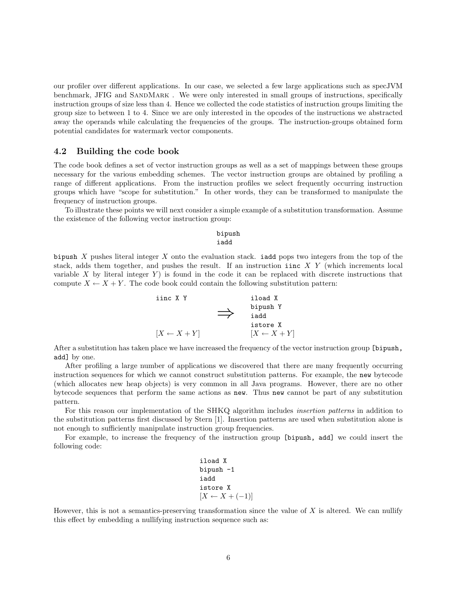our profiler over different applications. In our case, we selected a few large applications such as specJVM benchmark, JFIG and SANDMARK. We were only interested in small groups of instructions, specifically instruction groups of size less than 4. Hence we collected the code statistics of instruction groups limiting the group size to between 1 to 4. Since we are only interested in the opcodes of the instructions we abstracted away the operands while calculating the frequencies of the groups. The instruction-groups obtained form potential candidates for watermark vector components.

### 4.2 Building the code book

The code book defines a set of vector instruction groups as well as a set of mappings between these groups necessary for the various embedding schemes. The vector instruction groups are obtained by profiling a range of different applications. From the instruction profiles we select frequently occurring instruction groups which have "scope for substitution." In other words, they can be transformed to manipulate the frequency of instruction groups.

To illustrate these points we will next consider a simple example of a substitution transformation. Assume the existence of the following vector instruction group:

> bipush iadd

bipush  $X$  pushes literal integer  $X$  onto the evaluation stack. iadd pops two integers from the top of the stack, adds them together, and pushes the result. If an instruction  $\exists$  income X Y (which increments local variable  $X$  by literal integer  $Y$ ) is found in the code it can be replaced with discrete instructions that compute  $X \leftarrow X + Y$ . The code book could contain the following substitution pattern:



After a substitution has taken place we have increased the frequency of the vector instruction group [bipush, add] by one.

After profiling a large number of applications we discovered that there are many frequently occurring instruction sequences for which we cannot construct substitution patterns. For example, the new bytecode (which allocates new heap objects) is very common in all Java programs. However, there are no other bytecode sequences that perform the same actions as new. Thus new cannot be part of any substitution pattern.

For this reason our implementation of the SHKQ algorithm includes insertion patterns in addition to the substitution patterns first discussed by Stern [1]. Insertion patterns are used when substitution alone is not enough to sufficiently manipulate instruction group frequencies.

For example, to increase the frequency of the instruction group [bipush, add] we could insert the following code:

```
iload X
bipush -1
iadd
istore X
[X \leftarrow X + (-1)]
```
However, this is not a semantics-preserving transformation since the value of  $X$  is altered. We can nullify this effect by embedding a nullifying instruction sequence such as: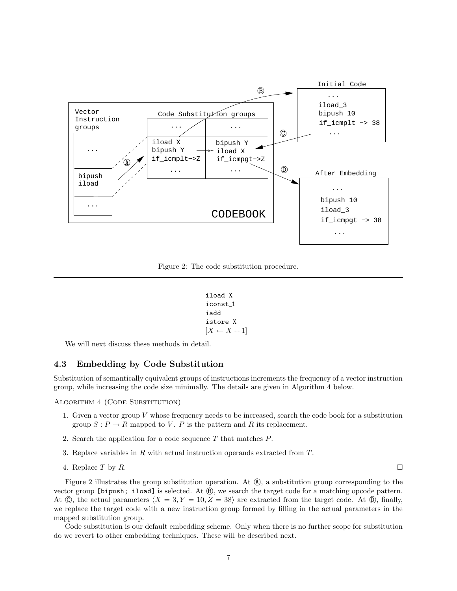

Figure 2: The code substitution procedure.

```
iload X
iconst 1
iadd
istore X
[X \leftarrow X + 1]
```
We will next discuss these methods in detail.

### 4.3 Embedding by Code Substitution

Substitution of semantically equivalent groups of instructions increments the frequency of a vector instruction group, while increasing the code size minimally. The details are given in Algorithm 4 below.

ALGORITHM 4 (CODE SUBSTITUTION)

- 1. Given a vector group V whose frequency needs to be increased, search the code book for a substitution group  $S: P \to R$  mapped to V. P is the pattern and R its replacement.
- 2. Search the application for a code sequence  $T$  that matches  $P$ .
- 3. Replace variables in R with actual instruction operands extracted from T.
- 4. Replace T by R.  $\Box$

Figure 2 illustrates the group substitution operation. At  $(A)$ , a substitution group corresponding to the vector group [bipush; iload] is selected. At  $\circledB$ , we search the target code for a matching opcode pattern. At  $\mathbb{C}$ , the actual parameters  $\langle X = 3, Y = 10, Z = 38 \rangle$  are extracted from the target code. At  $\mathbb{D}$ , finally, we replace the target code with a new instruction group formed by filling in the actual parameters in the mapped substitution group.

Code substitution is our default embedding scheme. Only when there is no further scope for substitution do we revert to other embedding techniques. These will be described next.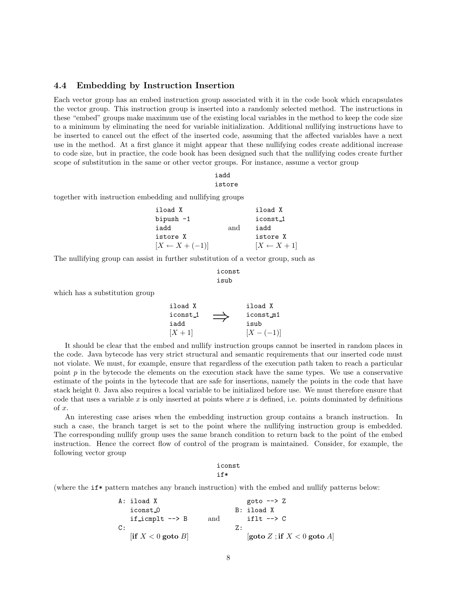### 4.4 Embedding by Instruction Insertion

Each vector group has an embed instruction group associated with it in the code book which encapsulates the vector group. This instruction group is inserted into a randomly selected method. The instructions in these "embed" groups make maximum use of the existing local variables in the method to keep the code size to a minimum by eliminating the need for variable initialization. Additional nullifying instructions have to be inserted to cancel out the effect of the inserted code, assuming that the affected variables have a next use in the method. At a first glance it might appear that these nullifying codes create additional increase to code size, but in practice, the code book has been designed such that the nullifying codes create further scope of substitution in the same or other vector groups. For instance, assume a vector group

> iadd istore

together with instruction embedding and nullifying groups

| iload X                   |     | iload X                |
|---------------------------|-----|------------------------|
| bipush -1                 |     | iconst_1               |
| iadd                      | and | iadd                   |
| istore X                  |     | istore X               |
| $[X \leftarrow X + (-1)]$ |     | $[X \leftarrow X + 1]$ |

The nullifying group can assist in further substitution of a vector group, such as

```
iconst
isub
```
which has a substitution group

| iload X  | iload X    |
|----------|------------|
| iconst_1 | iconst_m1  |
| iadd     | isub       |
| $[X+1]$  | $[X-(-1)]$ |

It should be clear that the embed and nullify instruction groups cannot be inserted in random places in the code. Java bytecode has very strict structural and semantic requirements that our inserted code must not violate. We must, for example, ensure that regardless of the execution path taken to reach a particular point  $p$  in the bytecode the elements on the execution stack have the same types. We use a conservative estimate of the points in the bytecode that are safe for insertions, namely the points in the code that have stack height 0. Java also requires a local variable to be initialized before use. We must therefore ensure that code that uses a variable x is only inserted at points where x is defined, i.e. points dominated by definitions of  $x$ .

An interesting case arises when the embedding instruction group contains a branch instruction. In such a case, the branch target is set to the point where the nullifying instruction group is embedded. The corresponding nullify group uses the same branch condition to return back to the point of the embed instruction. Hence the correct flow of control of the program is maintained. Consider, for example, the following vector group

### iconst if\*

(where the if\* pattern matches any branch instruction) with the embed and nullify patterns below:

```
A: iload X
    iconst 0
    if icmplt --> B
C:
    [if X < 0 goto B]
                               and
                                              goto --> Z
                                         B: iload X
                                              iflt \leftarrow > CZ:
                                              [\text{goto } Z; \text{if } X < 0 \text{ goto } A]
```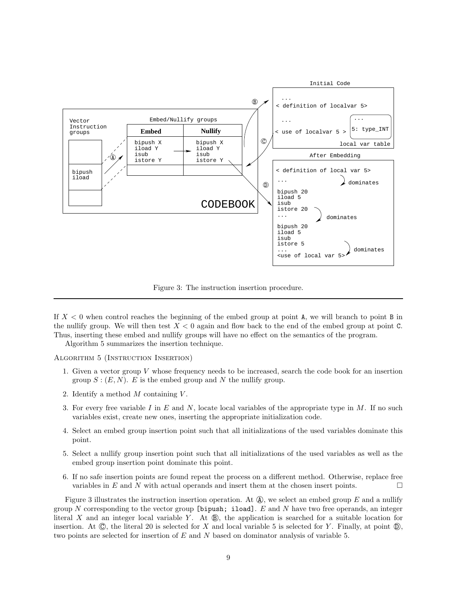

Figure 3: The instruction insertion procedure.

If  $X < 0$  when control reaches the beginning of the embed group at point A, we will branch to point B in the nullify group. We will then test  $X < 0$  again and flow back to the end of the embed group at point C. Thus, inserting these embed and nullify groups will have no effect on the semantics of the program.

Algorithm 5 summarizes the insertion technique.

Algorithm 5 (Instruction Insertion)

- 1. Given a vector group V whose frequency needs to be increased, search the code book for an insertion group  $S: (E, N)$ . E is the embed group and N the nullify group.
- 2. Identify a method  $M$  containing  $V$ .
- 3. For every free variable I in E and N, locate local variables of the appropriate type in M. If no such variables exist, create new ones, inserting the appropriate initialization code.
- 4. Select an embed group insertion point such that all initializations of the used variables dominate this point.
- 5. Select a nullify group insertion point such that all initializations of the used variables as well as the embed group insertion point dominate this point.
- 6. If no safe insertion points are found repeat the process on a different method. Otherwise, replace free variables in E and N with actual operands and insert them at the chosen insert points.  $\Box$

Figure 3 illustrates the instruction insertion operation. At  $(A)$ , we select an embed group E and a nullify group N corresponding to the vector group [bipush; iload].  $E$  and N have two free operands, an integer literal X and an integer local variable Y. At  $\mathcal{B}$ , the application is searched for a suitable location for insertion. At  $\mathbb{O}$ , the literal 20 is selected for X and local variable 5 is selected for Y. Finally, at point  $\mathbb{O}$ . two points are selected for insertion of E and N based on dominator analysis of variable 5.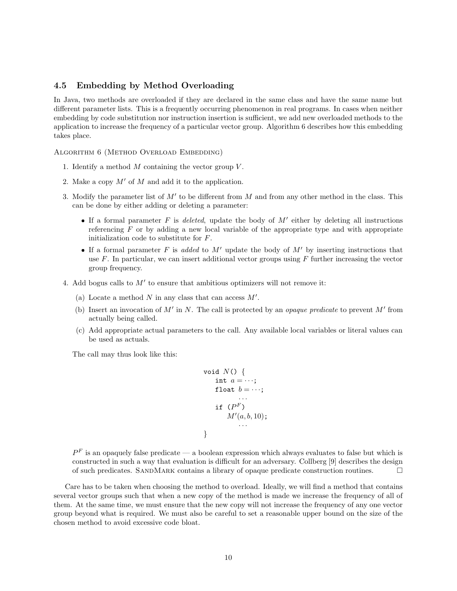### 4.5 Embedding by Method Overloading

In Java, two methods are overloaded if they are declared in the same class and have the same name but different parameter lists. This is a frequently occurring phenomenon in real programs. In cases when neither embedding by code substitution nor instruction insertion is sufficient, we add new overloaded methods to the application to increase the frequency of a particular vector group. Algorithm 6 describes how this embedding takes place.

Algorithm 6 (Method Overload Embedding)

- 1. Identify a method  $M$  containing the vector group  $V$ .
- 2. Make a copy  $M'$  of M and add it to the application.
- 3. Modify the parameter list of  $M'$  to be different from  $M$  and from any other method in the class. This can be done by either adding or deleting a parameter:
	- If a formal parameter  $F$  is *deleted*, update the body of  $M'$  either by deleting all instructions referencing  $F$  or by adding a new local variable of the appropriate type and with appropriate initialization code to substitute for F.
	- If a formal parameter F is added to  $M'$  update the body of  $M'$  by inserting instructions that use  $F$ . In particular, we can insert additional vector groups using  $F$  further increasing the vector group frequency.
- 4. Add bogus calls to  $M'$  to ensure that ambitious optimizers will not remove it:
	- (a) Locate a method  $N$  in any class that can access  $M'$ .
	- (b) Insert an invocation of  $M'$  in N. The call is protected by an *opaque predicate* to prevent  $M'$  from actually being called.
	- (c) Add appropriate actual parameters to the call. Any available local variables or literal values can be used as actuals.

The call may thus look like this:

```
void N() \{int a = \cdots;float b = \cdots;· · ·
    if (P^F)M'(a, b, 10);· · ·
}
```
 $P<sup>F</sup>$  is an opaquely false predicate — a boolean expression which always evaluates to false but which is constructed in such a way that evaluation is difficult for an adversary. Collberg [9] describes the design of such predicates. SANDMARK contains a library of opaque predicate construction routines.  $\Box$ 

Care has to be taken when choosing the method to overload. Ideally, we will find a method that contains several vector groups such that when a new copy of the method is made we increase the frequency of all of them. At the same time, we must ensure that the new copy will not increase the frequency of any one vector group beyond what is required. We must also be careful to set a reasonable upper bound on the size of the chosen method to avoid excessive code bloat.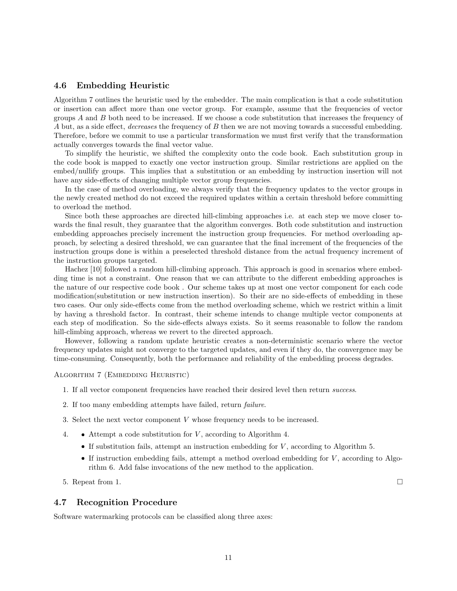### 4.6 Embedding Heuristic

Algorithm 7 outlines the heuristic used by the embedder. The main complication is that a code substitution or insertion can affect more than one vector group. For example, assume that the frequencies of vector groups  $A$  and  $B$  both need to be increased. If we choose a code substitution that increases the frequency of A but, as a side effect, decreases the frequency of B then we are not moving towards a successful embedding. Therefore, before we commit to use a particular transformation we must first verify that the transformation actually converges towards the final vector value.

To simplify the heuristic, we shifted the complexity onto the code book. Each substitution group in the code book is mapped to exactly one vector instruction group. Similar restrictions are applied on the embed/nullify groups. This implies that a substitution or an embedding by instruction insertion will not have any side-effects of changing multiple vector group frequencies.

In the case of method overloading, we always verify that the frequency updates to the vector groups in the newly created method do not exceed the required updates within a certain threshold before committing to overload the method.

Since both these approaches are directed hill-climbing approaches i.e. at each step we move closer towards the final result, they guarantee that the algorithm converges. Both code substitution and instruction embedding approaches precisely increment the instruction group frequencies. For method overloading approach, by selecting a desired threshold, we can guarantee that the final increment of the frequencies of the instruction groups done is within a preselected threshold distance from the actual frequency increment of the instruction groups targeted.

Hachez [10] followed a random hill-climbing approach. This approach is good in scenarios where embedding time is not a constraint. One reason that we can attribute to the different embedding approaches is the nature of our respective code book . Our scheme takes up at most one vector component for each code modification(substitution or new instruction insertion). So their are no side-effects of embedding in these two cases. Our only side-effects come from the method overloading scheme, which we restrict within a limit by having a threshold factor. In contrast, their scheme intends to change multiple vector components at each step of modification. So the side-effects always exists. So it seems reasonable to follow the random hill-climbing approach, whereas we revert to the directed approach.

However, following a random update heuristic creates a non-deterministic scenario where the vector frequency updates might not converge to the targeted updates, and even if they do, the convergence may be time-consuming. Consequently, both the performance and reliability of the embedding process degrades.

### Algorithm 7 (Embedding Heuristic)

- 1. If all vector component frequencies have reached their desired level then return success.
- 2. If too many embedding attempts have failed, return failure.
- 3. Select the next vector component V whose frequency needs to be increased.
- 4. Attempt a code substitution for  $V$ , according to Algorithm 4.
	- If substitution fails, attempt an instruction embedding for  $V$ , according to Algorithm 5.
	- If instruction embedding fails, attempt a method overload embedding for  $V$ , according to Algorithm 6. Add false invocations of the new method to the application.

5. Repeat from 1.  $\Box$ 

### 4.7 Recognition Procedure

Software watermarking protocols can be classified along three axes: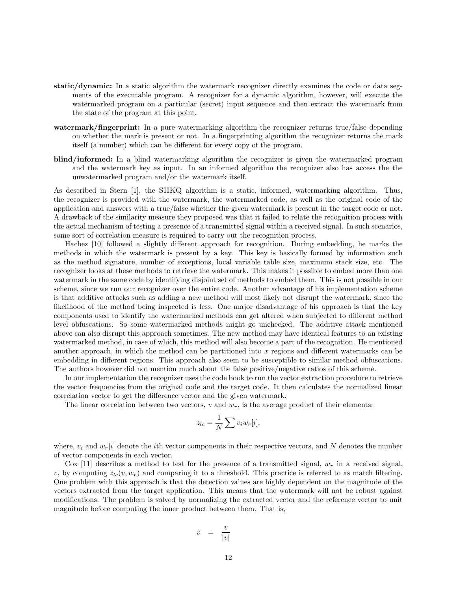- static/dynamic: In a static algorithm the watermark recognizer directly examines the code or data segments of the executable program. A recognizer for a dynamic algorithm, however, will execute the watermarked program on a particular (secret) input sequence and then extract the watermark from the state of the program at this point.
- watermark/fingerprint: In a pure watermarking algorithm the recognizer returns true/false depending on whether the mark is present or not. In a fingerprinting algorithm the recognizer returns the mark itself (a number) which can be different for every copy of the program.
- blind/informed: In a blind watermarking algorithm the recognizer is given the watermarked program and the watermark key as input. In an informed algorithm the recognizer also has access the the unwatermarked program and/or the watermark itself.

As described in Stern [1], the SHKQ algorithm is a static, informed, watermarking algorithm. Thus, the recognizer is provided with the watermark, the watermarked code, as well as the original code of the application and answers with a true/false whether the given watermark is present in the target code or not. A drawback of the similarity measure they proposed was that it failed to relate the recognition process with the actual mechanism of testing a presence of a transmitted signal within a received signal. In such scenarios, some sort of correlation measure is required to carry out the recognition process.

Hachez [10] followed a slightly different approach for recognition. During embedding, he marks the methods in which the watermark is present by a key. This key is basically formed by information such as the method signature, number of exceptions, local variable table size, maximum stack size, etc. The recognizer looks at these methods to retrieve the watermark. This makes it possible to embed more than one watermark in the same code by identifying disjoint set of methods to embed them. This is not possible in our scheme, since we run our recognizer over the entire code. Another advantage of his implementation scheme is that additive attacks such as adding a new method will most likely not disrupt the watermark, since the likelihood of the method being inspected is less. One major disadvantage of his approach is that the key components used to identify the watermarked methods can get altered when subjected to different method level obfuscations. So some watermarked methods might go unchecked. The additive attack mentioned above can also disrupt this approach sometimes. The new method may have identical features to an existing watermarked method, in case of which, this method will also become a part of the recognition. He mentioned another approach, in which the method can be partitioned into x regions and different watermarks can be embedding in different regions. This approach also seem to be susceptible to similar method obfuscations. The authors however did not mention much about the false positive/negative ratios of this scheme.

In our implementation the recognizer uses the code book to run the vector extraction procedure to retrieve the vector frequencies from the original code and the target code. It then calculates the normalized linear correlation vector to get the difference vector and the given watermark.

The linear correlation between two vectors,  $v$  and  $w_r$ , is the average product of their elements:

$$
z_{lc} = \frac{1}{N} \sum v_i w_r[i].
$$

where,  $v_i$  and  $w_r[i]$  denote the *i*th vector components in their respective vectors, and N denotes the number of vector components in each vector.

Cox [11] describes a method to test for the presence of a transmitted signal,  $w_r$  in a received signal, v, by computing  $z_{l,c}(v, w_r)$  and comparing it to a threshold. This practice is referred to as match filtering. One problem with this approach is that the detection values are highly dependent on the magnitude of the vectors extracted from the target application. This means that the watermark will not be robust against modifications. The problem is solved by normalizing the extracted vector and the reference vector to unit magnitude before computing the inner product between them. That is,

$$
\tilde{v} = \frac{v}{|v|}
$$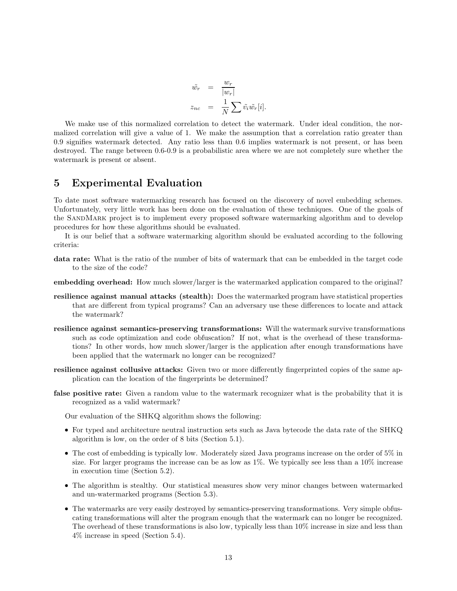$$
\begin{array}{rcl}\n\tilde{w_r} & = & \frac{w_r}{|w_r|} \\
z_{nc} & = & \frac{1}{N} \sum \tilde{v_i} \tilde{w_r}[i].\n\end{array}
$$

We make use of this normalized correlation to detect the watermark. Under ideal condition, the normalized correlation will give a value of 1. We make the assumption that a correlation ratio greater than 0.9 signifies watermark detected. Any ratio less than 0.6 implies watermark is not present, or has been destroyed. The range between 0.6-0.9 is a probabilistic area where we are not completely sure whether the watermark is present or absent.

## 5 Experimental Evaluation

To date most software watermarking research has focused on the discovery of novel embedding schemes. Unfortunately, very little work has been done on the evaluation of these techniques. One of the goals of the SandMark project is to implement every proposed software watermarking algorithm and to develop procedures for how these algorithms should be evaluated.

It is our belief that a software watermarking algorithm should be evaluated according to the following criteria:

- data rate: What is the ratio of the number of bits of watermark that can be embedded in the target code to the size of the code?
- embedding overhead: How much slower/larger is the watermarked application compared to the original?
- resilience against manual attacks (stealth): Does the watermarked program have statistical properties that are different from typical programs? Can an adversary use these differences to locate and attack the watermark?
- resilience against semantics-preserving transformations: Will the watermark survive transformations such as code optimization and code obfuscation? If not, what is the overhead of these transformations? In other words, how much slower/larger is the application after enough transformations have been applied that the watermark no longer can be recognized?
- resilience against collusive attacks: Given two or more differently fingerprinted copies of the same application can the location of the fingerprints be determined?
- false positive rate: Given a random value to the watermark recognizer what is the probability that it is recognized as a valid watermark?

Our evaluation of the SHKQ algorithm shows the following:

- For typed and architecture neutral instruction sets such as Java bytecode the data rate of the SHKQ algorithm is low, on the order of 8 bits (Section 5.1).
- The cost of embedding is typically low. Moderately sized Java programs increase on the order of 5% in size. For larger programs the increase can be as low as 1%. We typically see less than a 10% increase in execution time (Section 5.2).
- The algorithm is stealthy. Our statistical measures show very minor changes between watermarked and un-watermarked programs (Section 5.3).
- The watermarks are very easily destroyed by semantics-preserving transformations. Very simple obfuscating transformations will alter the program enough that the watermark can no longer be recognized. The overhead of these transformations is also low, typically less than 10% increase in size and less than 4% increase in speed (Section 5.4).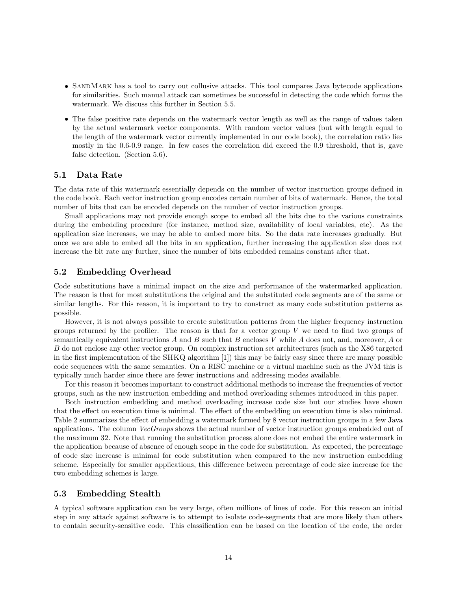- SandMark has a tool to carry out collusive attacks. This tool compares Java bytecode applications for similarities. Such manual attack can sometimes be successful in detecting the code which forms the watermark. We discuss this further in Section 5.5.
- The false positive rate depends on the watermark vector length as well as the range of values taken by the actual watermark vector components. With random vector values (but with length equal to the length of the watermark vector currently implemented in our code book), the correlation ratio lies mostly in the 0.6-0.9 range. In few cases the correlation did exceed the 0.9 threshold, that is, gave false detection. (Section 5.6).

### 5.1 Data Rate

The data rate of this watermark essentially depends on the number of vector instruction groups defined in the code book. Each vector instruction group encodes certain number of bits of watermark. Hence, the total number of bits that can be encoded depends on the number of vector instruction groups.

Small applications may not provide enough scope to embed all the bits due to the various constraints during the embedding procedure (for instance, method size, availability of local variables, etc). As the application size increases, we may be able to embed more bits. So the data rate increases gradually. But once we are able to embed all the bits in an application, further increasing the application size does not increase the bit rate any further, since the number of bits embedded remains constant after that.

### 5.2 Embedding Overhead

Code substitutions have a minimal impact on the size and performance of the watermarked application. The reason is that for most substitutions the original and the substituted code segments are of the same or similar lengths. For this reason, it is important to try to construct as many code substitution patterns as possible.

However, it is not always possible to create substitution patterns from the higher frequency instruction groups returned by the profiler. The reason is that for a vector group  $V$  we need to find two groups of semantically equivalent instructions  $A$  and  $B$  such that  $B$  encloses  $V$  while  $A$  does not, and, moreover,  $A$  or B do not enclose any other vector group. On complex instruction set architectures (such as the X86 targeted in the first implementation of the SHKQ algorithm [1]) this may be fairly easy since there are many possible code sequences with the same semantics. On a RISC machine or a virtual machine such as the JVM this is typically much harder since there are fewer instructions and addressing modes available.

For this reason it becomes important to construct additional methods to increase the frequencies of vector groups, such as the new instruction embedding and method overloading schemes introduced in this paper.

Both instruction embedding and method overloading increase code size but our studies have shown that the effect on execution time is minimal. The effect of the embedding on execution time is also minimal. Table 2 summarizes the effect of embedding a watermark formed by 8 vector instruction groups in a few Java applications. The column *VecGroups* shows the actual number of vector instruction groups embedded out of the maximum 32. Note that running the substitution process alone does not embed the entire watermark in the application because of absence of enough scope in the code for substitution. As expected, the percentage of code size increase is minimal for code substitution when compared to the new instruction embedding scheme. Especially for smaller applications, this difference between percentage of code size increase for the two embedding schemes is large.

### 5.3 Embedding Stealth

A typical software application can be very large, often millions of lines of code. For this reason an initial step in any attack against software is to attempt to isolate code-segments that are more likely than others to contain security-sensitive code. This classification can be based on the location of the code, the order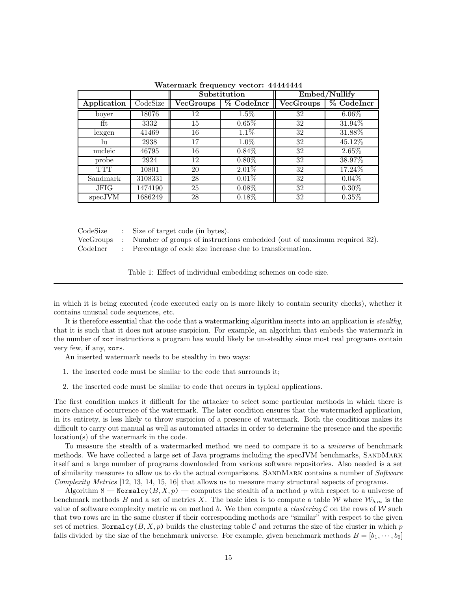|             |          | Substitution     |            |                  | Embed/Nullify |
|-------------|----------|------------------|------------|------------------|---------------|
| Application | CodeSize | <b>VecGroups</b> | % CodeIncr | <b>VecGroups</b> | % CodeIncr    |
| bover       | 18076    | 12               | $1.5\%$    | 32               | $6.06\%$      |
| fft         | 3332     | 15               | 0.65%      | 32               | 31.94%        |
| lexgen      | 41469    | 16               | $1.1\%$    | 32               | 31.88%        |
| Ιu          | 2938     | 17               | 1.0%       | 32               | 45.12%        |
| nucleic     | 46795    | 16               | $0.84\%$   | 32               | 2.65%         |
| probe       | 2924     | 12               | $0.80\%$   | 32               | 38.97%        |
| <b>TTT</b>  | 10801    | 20               | $2.01\%$   | 32               | 17.24%        |
| Sandmark    | 3108331  | 28               | 0.01%      | 32               | 0.04%         |
| <b>JFIG</b> | 1474190  | 25               | $0.08\%$   | 32               | $0.30\%$      |
| specJVM     | 1686249  | 28               | 0.18%      | 32               | 0.35%         |

Watermark frequency vector: 44444444

CodeSize : Size of target code (in bytes).

VecGroups : Number of groups of instructions embedded (out of maximum required 32).

CodeIncr : Percentage of code size increase due to transformation.

Table 1: Effect of individual embedding schemes on code size.

in which it is being executed (code executed early on is more likely to contain security checks), whether it contains unusual code sequences, etc.

It is therefore essential that the code that a watermarking algorithm inserts into an application is stealthy, that it is such that it does not arouse suspicion. For example, an algorithm that embeds the watermark in the number of xor instructions a program has would likely be un-stealthy since most real programs contain very few, if any, xors.

An inserted watermark needs to be stealthy in two ways:

- 1. the inserted code must be similar to the code that surrounds it;
- 2. the inserted code must be similar to code that occurs in typical applications.

The first condition makes it difficult for the attacker to select some particular methods in which there is more chance of occurrence of the watermark. The later condition ensures that the watermarked application, in its entirety, is less likely to throw suspicion of a presence of watermark. Both the conditions makes its difficult to carry out manual as well as automated attacks in order to determine the presence and the specific location(s) of the watermark in the code.

To measure the stealth of a watermarked method we need to compare it to a universe of benchmark methods. We have collected a large set of Java programs including the specJVM benchmarks, SANDMARK itself and a large number of programs downloaded from various software repositories. Also needed is a set of similarity measures to allow us to do the actual comparisons. SANDMARK contains a number of Software Complexity Metrics [12, 13, 14, 15, 16] that allows us to measure many structural aspects of programs.

Algorithm 8 — Normalcy $(B, X, p)$  — computes the stealth of a method p with respect to a universe of benchmark methods B and a set of metrics X. The basic idea is to compute a table W where  $W_{b,m}$  is the value of software complexity metric m on method b. We then compute a *clustering*  $C$  on the rows of  $W$  such that two rows are in the same cluster if their corresponding methods are "similar" with respect to the given set of metrics. Normalcy( $B, X, p$ ) builds the clustering table C and returns the size of the cluster in which p falls divided by the size of the benchmark universe. For example, given benchmark methods  $B = [b_1, \dots, b_6]$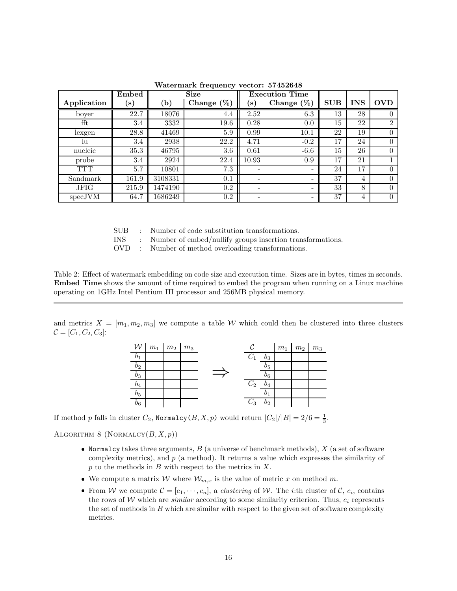|             | Embed     | <b>Size</b> |               | <b>Execution Time</b>    |               |            |            |                |
|-------------|-----------|-------------|---------------|--------------------------|---------------|------------|------------|----------------|
| Application | $\bf{s})$ | (b)         | Change $(\%)$ | $\bf (s)$                | Change $(\%)$ | <b>SUB</b> | <b>INS</b> | <b>OVD</b>     |
| bover       | 22.7      | 18076       | 4.4           | 2.52                     | 6.3           | 13         | 28         |                |
| fft         | 3.4       | 3332        | 19.6          | 0.28                     | 0.0           | 15         | 22         | $\overline{2}$ |
| lexgen      | 28.8      | 41469       | 5.9           | 0.99                     | 10.1          | 22         | 19         |                |
| Ιu          | 3.4       | 2938        | 22.2          | 4.71                     | $-0.2$        | 17         | 24         |                |
| nucleic     | 35.3      | 46795       | 3.6           | 0.61                     | $-6.6$        | 15         | 26         |                |
| probe       | 3.4       | 2924        | 22.4          | 10.93                    | 0.9           | 17         | 21         |                |
| <b>TTT</b>  | 5.7       | 10801       | 7.3           | Ξ.                       | -             | 24         | 17         |                |
| Sandmark    | 161.9     | 3108331     | 0.1           | $\overline{\phantom{0}}$ | Ξ.            | 37         | 4          |                |
| <b>JFIG</b> | 215.9     | 1474190     | 0.2           | -                        | Ξ.            | 33         | 8          |                |
| specJVM     | 64.7      | 1686249     | 0.2           | $\overline{\phantom{0}}$ | -             | 37         | 4          | $\Omega$       |

Watermark frequency vector: 57452648

SUB : Number of code substitution transformations.

INS : Number of embed/nullify groups insertion transformations.

OVD : Number of method overloading transformations.

Table 2: Effect of watermark embedding on code size and execution time. Sizes are in bytes, times in seconds. Embed Time shows the amount of time required to embed the program when running on a Linux machine operating on 1GHz Intel Pentium III processor and 256MB physical memory.

and metrics  $X = [m_1, m_2, m_3]$  we compute a table W which could then be clustered into three clusters  $C = [C_1, C_2, C_3]$ :



If method p falls in cluster  $C_2$ , Normalcy(B, X, p) would return  $|C_2|/|B| = 2/6 = \frac{1}{3}$ .

ALGORITHM 8 (NORMALCY $(B, X, p)$ )

- Normalcy takes three arguments,  $B$  (a universe of benchmark methods),  $X$  (a set of software complexity metrics), and  $p$  (a method). It returns a value which expresses the similarity of  $p$  to the methods in  $B$  with respect to the metrics in  $X$ .
- We compute a matrix W where  $\mathcal{W}_{m,x}$  is the value of metric x on method m.
- From W we compute  $\mathcal{C} = [c_1, \dots, c_n]$ , a *clustering* of W. The *i*:th cluster of C,  $c_i$ , contains the rows of W which are *similar* according to some similarity criterion. Thus,  $c_i$  represents the set of methods in  $B$  which are similar with respect to the given set of software complexity metrics.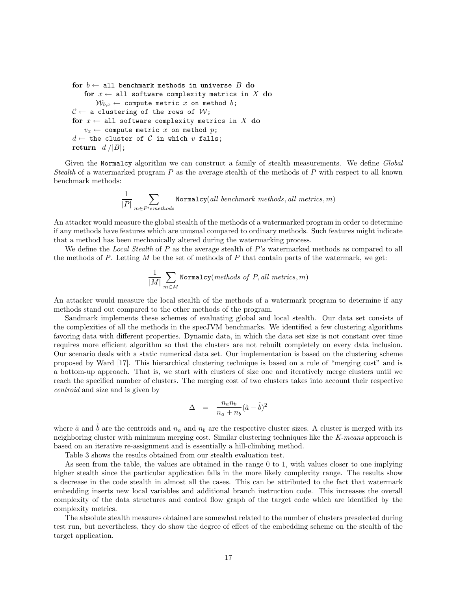```
for b \leftarrow all benchmark methods in universe B do
    for x \leftarrow \text{all software complexity metrics in } X \text{ do}\mathcal{W}_{b,x} \leftarrow compute metric x on method b;
C \leftarrow a clustering of the rows of W;
for x \leftarrow \text{all software complexity metrics in } X \text{ do}v_x \leftarrow compute metric x on method p;
d \leftarrow the cluster of C in which v falls;
return |d|/|B|;
```
Given the Normalcy algorithm we can construct a family of stealth measurements. We define Global Stealth of a watermarked program  $P$  as the average stealth of the methods of  $P$  with respect to all known benchmark methods:

$$
\frac{1}{|P|} \sum_{m \in P'smethods} \texttt{Normalcy}(\textit{all benchmark methods}, \textit{all metrics}, m)
$$

An attacker would measure the global stealth of the methods of a watermarked program in order to determine if any methods have features which are unusual compared to ordinary methods. Such features might indicate that a method has been mechanically altered during the watermarking process.

We define the *Local Stealth* of  $P$  as the average stealth of  $P$ 's watermarked methods as compared to all the methods of  $P$ . Letting  $M$  be the set of methods of  $P$  that contain parts of the watermark, we get:

$$
\frac{1}{|M|} \sum_{m \in M} \text{Normalcy}(methods \text{ of } P, \text{ all metrics}, m)
$$

An attacker would measure the local stealth of the methods of a watermark program to determine if any methods stand out compared to the other methods of the program.

Sandmark implements these schemes of evaluating global and local stealth. Our data set consists of the complexities of all the methods in the specJVM benchmarks. We identified a few clustering algorithms favoring data with different properties. Dynamic data, in which the data set size is not constant over time requires more efficient algorithm so that the clusters are not rebuilt completely on every data inclusion. Our scenario deals with a static numerical data set. Our implementation is based on the clustering scheme proposed by Ward [17]. This hierarchical clustering technique is based on a rule of "merging cost" and is a bottom-up approach. That is, we start with clusters of size one and iteratively merge clusters until we reach the specified number of clusters. The merging cost of two clusters takes into account their respective centroid and size and is given by

$$
\Delta = \frac{n_a n_b}{n_a + n_b} (\tilde{a} - \tilde{b})^2
$$

where  $\tilde{a}$  and  $b$  are the centroids and  $n_a$  and  $n_b$  are the respective cluster sizes. A cluster is merged with its neighboring cluster with minimum merging cost. Similar clustering techniques like the K-means approach is based on an iterative re-assignment and is essentially a hill-climbing method.

Table 3 shows the results obtained from our stealth evaluation test.

As seen from the table, the values are obtained in the range 0 to 1, with values closer to one implying higher stealth since the particular application falls in the more likely complexity range. The results show a decrease in the code stealth in almost all the cases. This can be attributed to the fact that watermark embedding inserts new local variables and additional branch instruction code. This increases the overall complexity of the data structures and control flow graph of the target code which are identified by the complexity metrics.

The absolute stealth measures obtained are somewhat related to the number of clusters preselected during test run, but nevertheless, they do show the degree of effect of the embedding scheme on the stealth of the target application.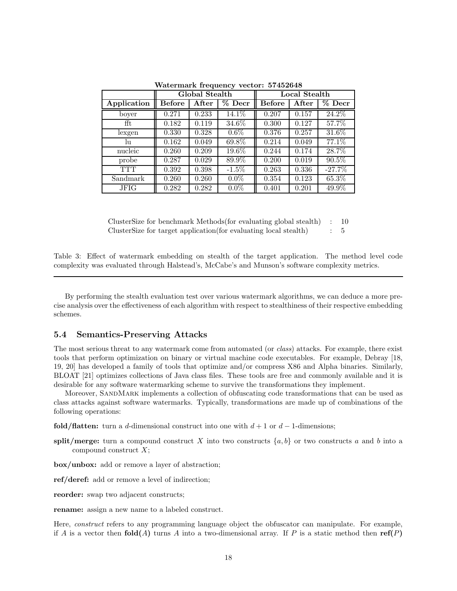|             | Global Stealth |               |          |               | Local Stealth |           |
|-------------|----------------|---------------|----------|---------------|---------------|-----------|
| Application | Before         | ${\rm After}$ | % Decr   | <b>Before</b> | After         | $%$ Decr  |
| boyer       | 0.271          | 0.233         | 14.1%    | 0.207         | 0.157         | 24.2%     |
| fft         | 0.182          | 0.119         | 34.6%    | 0.300         | 0.127         | 57.7%     |
| lexgen      | 0.330          | 0.328         | $0.6\%$  | 0.376         | 0.257         | 31.6%     |
| lu          | 0.162          | 0.049         | 69.8%    | 0.214         | 0.049         | 77.1\%    |
| nucleic     | 0.260          | 0.209         | 19.6%    | 0.244         | 0.174         | 28.7%     |
| probe       | 0.287          | 0.029         | 89.9%    | 0.200         | 0.019         | $90.5\%$  |
| <b>TTT</b>  | 0.392          | 0.398         | $-1.5\%$ | 0.263         | 0.336         | $-27.7\%$ |
| Sandmark    | 0.260          | 0.260         | $0.0\%$  | 0.354         | 0.123         | 65.3%     |
| <b>JFIG</b> | 0.282          | 0.282         | $0.0\%$  | 0.401         | 0.201         | 49.9%     |

Watermark frequency vector: 57452648

ClusterSize for benchmark Methods(for evaluating global stealth) : 10 ClusterSize for target application(for evaluating local stealth) : 5

Table 3: Effect of watermark embedding on stealth of the target application. The method level code complexity was evaluated through Halstead's, McCabe's and Munson's software complexity metrics.

By performing the stealth evaluation test over various watermark algorithms, we can deduce a more precise analysis over the effectiveness of each algorithm with respect to stealthiness of their respective embedding schemes.

### 5.4 Semantics-Preserving Attacks

The most serious threat to any watermark come from automated (or class) attacks. For example, there exist tools that perform optimization on binary or virtual machine code executables. For example, Debray [18, 19, 20] has developed a family of tools that optimize and/or compress X86 and Alpha binaries. Similarly, BLOAT [21] optimizes collections of Java class files. These tools are free and commonly available and it is desirable for any software watermarking scheme to survive the transformations they implement.

Moreover, SANDMARK implements a collection of obfuscating code transformations that can be used as class attacks against software watermarks. Typically, transformations are made up of combinations of the following operations:

fold/flatten: turn a d-dimensional construct into one with  $d+1$  or  $d-1$ -dimensions;

split/merge: turn a compound construct X into two constructs  $\{a, b\}$  or two constructs a and b into a compound construct  $X$ ;

box/unbox: add or remove a layer of abstraction;

ref/deref: add or remove a level of indirection;

reorder: swap two adjacent constructs;

rename: assign a new name to a labeled construct.

Here, construct refers to any programming language object the obfuscator can manipulate. For example, if A is a vector then  $\text{fold}(A)$  turns A into a two-dimensional array. If P is a static method then  $\text{ref}(P)$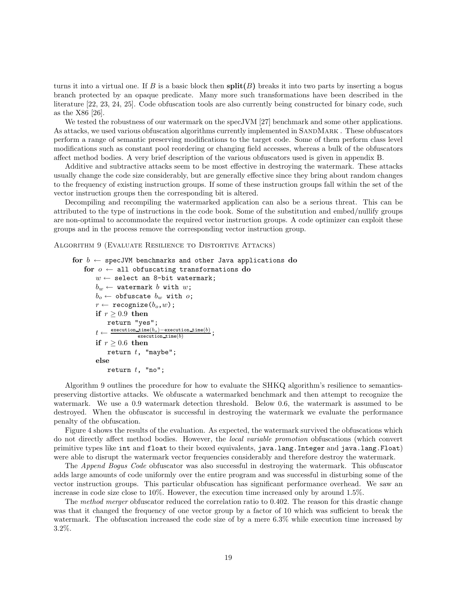turns it into a virtual one. If B is a basic block then  $split(B)$  breaks it into two parts by inserting a bogus branch protected by an opaque predicate. Many more such transformations have been described in the literature [22, 23, 24, 25]. Code obfuscation tools are also currently being constructed for binary code, such as the X86 [26].

We tested the robustness of our watermark on the specJVM [27] benchmark and some other applications. As attacks, we used various obfuscation algorithms currently implemented in SANDMARK . These obfuscators perform a range of semantic preserving modifications to the target code. Some of them perform class level modifications such as constant pool reordering or changing field accesses, whereas a bulk of the obfuscators affect method bodies. A very brief description of the various obfuscators used is given in appendix B.

Additive and subtractive attacks seem to be most effective in destroying the watermark. These attacks usually change the code size considerably, but are generally effective since they bring about random changes to the frequency of existing instruction groups. If some of these instruction groups fall within the set of the vector instruction groups then the corresponding bit is altered.

Decompiling and recompiling the watermarked application can also be a serious threat. This can be attributed to the type of instructions in the code book. Some of the substitution and embed/nullify groups are non-optimal to accommodate the required vector instruction groups. A code optimizer can exploit these groups and in the process remove the corresponding vector instruction group.

Algorithm 9 (Evaluate Resilience to Distortive Attacks)

```
for b \leftarrow specJVM benchmarks and other Java applications do
    for o \leftarrow all obfuscating transformations do
         w \leftarrow select an 8-bit watermark;
        b_w \leftarrow watermark b with w;
        b_o \leftarrow obfuscate b_w with o;
         r \leftarrow recognize(b_o, w);
        if r \geq 0.9 then
             return "yes";
         t \leftarrow \frac{\mathtt{execution\_time}(b_o) - \mathtt{execution\_time}(b)}{\mathtt{execution\_time}(b)};
        if r > 0.6 then
             return t, "maybe";
         else
             return t, "no";
```
Algorithm 9 outlines the procedure for how to evaluate the SHKQ algorithm's resilience to semanticspreserving distortive attacks. We obfuscate a watermarked benchmark and then attempt to recognize the watermark. We use a 0.9 watermark detection threshold. Below 0.6, the watermark is assumed to be destroyed. When the obfuscator is successful in destroying the watermark we evaluate the performance penalty of the obfuscation.

Figure 4 shows the results of the evaluation. As expected, the watermark survived the obfuscations which do not directly affect method bodies. However, the local variable promotion obfuscations (which convert primitive types like int and float to their boxed equivalents, java.lang.Integer and java.lang.Float) were able to disrupt the watermark vector frequencies considerably and therefore destroy the watermark.

The Append Bogus Code obfuscator was also successful in destroying the watermark. This obfuscator adds large amounts of code uniformly over the entire program and was successful in disturbing some of the vector instruction groups. This particular obfuscation has significant performance overhead. We saw an increase in code size close to 10%. However, the execution time increased only by around 1.5%.

The *method merger* obfuscator reduced the correlation ratio to 0.402. The reason for this drastic change was that it changed the frequency of one vector group by a factor of 10 which was sufficient to break the watermark. The obfuscation increased the code size of by a mere 6.3% while execution time increased by 3.2%.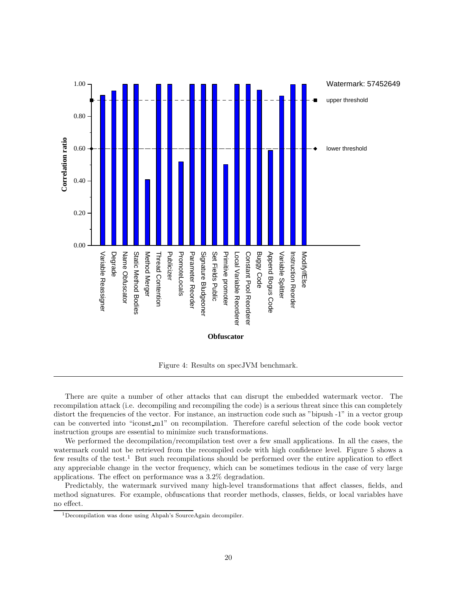

Figure 4: Results on specJVM benchmark.

There are quite a number of other attacks that can disrupt the embedded watermark vector. The recompilation attack (i.e. decompiling and recompiling the code) is a serious threat since this can completely distort the frequencies of the vector. For instance, an instruction code such as "bipush -1" in a vector group can be converted into "iconst m1" on recompilation. Therefore careful selection of the code book vector instruction groups are essential to minimize such transformations.

We performed the decompilation/recompilation test over a few small applications. In all the cases, the watermark could not be retrieved from the recompiled code with high confidence level. Figure 5 shows a few results of the test.<sup>1</sup> But such recompilations should be performed over the entire application to effect any appreciable change in the vector frequency, which can be sometimes tedious in the case of very large applications. The effect on performance was a 3.2% degradation.

Predictably, the watermark survived many high-level transformations that affect classes, fields, and method signatures. For example, obfuscations that reorder methods, classes, fields, or local variables have no effect.

<sup>1</sup>Decompilation was done using Ahpah's SourceAgain decompiler.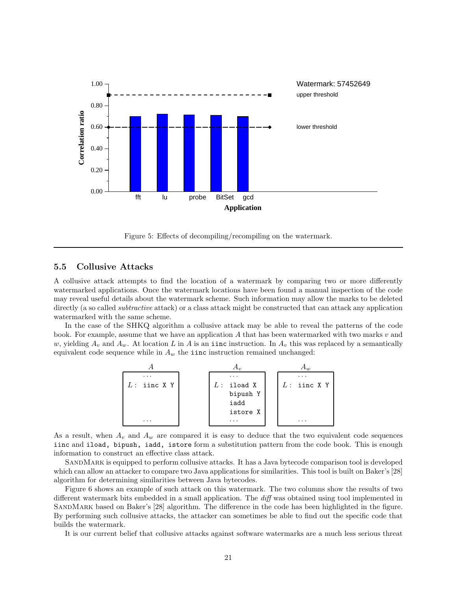



### 5.5 Collusive Attacks

A collusive attack attempts to find the location of a watermark by comparing two or more differently watermarked applications. Once the watermark locations have been found a manual inspection of the code may reveal useful details about the watermark scheme. Such information may allow the marks to be deleted directly (a so called *subtractive* attack) or a class attack might be constructed that can attack any application watermarked with the same scheme.

In the case of the SHKQ algorithm a collusive attack may be able to reveal the patterns of the code book. For example, assume that we have an application A that has been watermarked with two marks v and w, yielding  $A_v$  and  $A_w$ . At location L in A is an iinc instruction. In  $A_v$  this was replaced by a semantically equivalent code sequence while in  $A_w$  the iinc instruction remained unchanged:



As a result, when  $A_v$  and  $A_w$  are compared it is easy to deduce that the two equivalent code sequences iinc and iload, bipush, iadd, istore form a substitution pattern from the code book. This is enough information to construct an effective class attack.

SandMark is equipped to perform collusive attacks. It has a Java bytecode comparison tool is developed which can allow an attacker to compare two Java applications for similarities. This tool is built on Baker's [28] algorithm for determining similarities between Java bytecodes.

Figure 6 shows an example of such attack on this watermark. The two columns show the results of two different watermark bits embedded in a small application. The diff was obtained using tool implemented in SANDMARK based on Baker's [28] algorithm. The difference in the code has been highlighted in the figure. By performing such collusive attacks, the attacker can sometimes be able to find out the specific code that builds the watermark.

It is our current belief that collusive attacks against software watermarks are a much less serious threat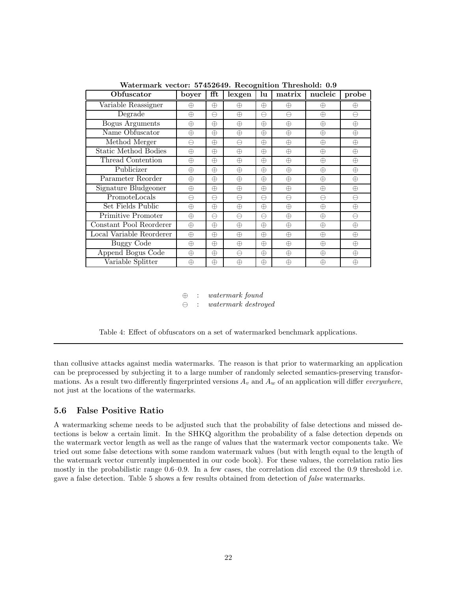| <b>Obfuscator</b>           | boyer    | fft       | lexgen    | lu        | matrix    | nucleic   | probe     |
|-----------------------------|----------|-----------|-----------|-----------|-----------|-----------|-----------|
| Variable Reassigner         | $\oplus$ | $\oplus$  | $\oplus$  | $\oplus$  | $\oplus$  | $\oplus$  | $\oplus$  |
| Degrade                     | $\oplus$ | $\ominus$ | $\oplus$  | $\ominus$ | $\ominus$ | $\oplus$  | $\ominus$ |
| <b>Bogus Arguments</b>      | ⊕        | $\oplus$  | $\oplus$  | $\oplus$  | $\oplus$  | $\oplus$  | $\oplus$  |
| Name Obfuscator             | $\oplus$ | $\oplus$  | $\oplus$  | $\oplus$  | $\oplus$  | $\oplus$  | $\oplus$  |
| Method Merger               | A        | ⊕         | $\ominus$ | $\oplus$  | $\oplus$  | $\oplus$  | $\oplus$  |
| <b>Static Method Bodies</b> | $\oplus$ | $\oplus$  | $\oplus$  | $\oplus$  | $\oplus$  | $\oplus$  | $\oplus$  |
| Thread Contention           | $\oplus$ | ⊕         | $\oplus$  | $\oplus$  | $\oplus$  | $\oplus$  | $\oplus$  |
| Publicizer                  | $\oplus$ | $\oplus$  | $\oplus$  | $\oplus$  | $\oplus$  | $\oplus$  | $\oplus$  |
| Parameter Reorder           | $\oplus$ | $\oplus$  | $\oplus$  | $\oplus$  | $\oplus$  | $\oplus$  | $\oplus$  |
| Signature Bludgeoner        | $\oplus$ | $\oplus$  | $\oplus$  | $\oplus$  | $\oplus$  | $\oplus$  | $\oplus$  |
| PromoteLocals               | θ        | Θ         | $\ominus$ | 0         | $\ominus$ | $\ominus$ | $\ominus$ |
| Set Fields Public           | $\oplus$ | $\oplus$  | $\oplus$  | $\oplus$  | $\oplus$  | $\oplus$  | $\oplus$  |
| <b>Primitive Promoter</b>   | $\oplus$ | $\ominus$ | $\ominus$ | $\ominus$ | $\oplus$  | $\oplus$  | $\ominus$ |
| Constant Pool Reorderer     | $\oplus$ | $\oplus$  | $\oplus$  | $\oplus$  | $\oplus$  | $\oplus$  | $\oplus$  |
| Local Variable Reorderer    | $\oplus$ | $\oplus$  | $\oplus$  | $\oplus$  | $\oplus$  | $\oplus$  | $\oplus$  |
| <b>Buggy Code</b>           | $\oplus$ | $\oplus$  | $\oplus$  | $\oplus$  | $\oplus$  | $\oplus$  | $\oplus$  |
| Append Bogus Code           | $\oplus$ | $\oplus$  | $\ominus$ | $\oplus$  | $\oplus$  | $\oplus$  | $\oplus$  |
| Variable Splitter           | $\oplus$ | $\oplus$  | $\oplus$  | $\oplus$  | $\oplus$  | $\oplus$  | ⊕         |

Watermark vector: 57452649. Recognition Threshold: 0.9

⊕ : watermark found

 $\ominus$  : watermark destroyed

Table 4: Effect of obfuscators on a set of watermarked benchmark applications.

than collusive attacks against media watermarks. The reason is that prior to watermarking an application can be preprocessed by subjecting it to a large number of randomly selected semantics-preserving transformations. As a result two differently fingerprinted versions  $A_v$  and  $A_w$  of an application will differ *everywhere*, not just at the locations of the watermarks.

### 5.6 False Positive Ratio

A watermarking scheme needs to be adjusted such that the probability of false detections and missed detections is below a certain limit. In the SHKQ algorithm the probability of a false detection depends on the watermark vector length as well as the range of values that the watermark vector components take. We tried out some false detections with some random watermark values (but with length equal to the length of the watermark vector currently implemented in our code book). For these values, the correlation ratio lies mostly in the probabilistic range 0.6–0.9. In a few cases, the correlation did exceed the 0.9 threshold i.e. gave a false detection. Table 5 shows a few results obtained from detection of false watermarks.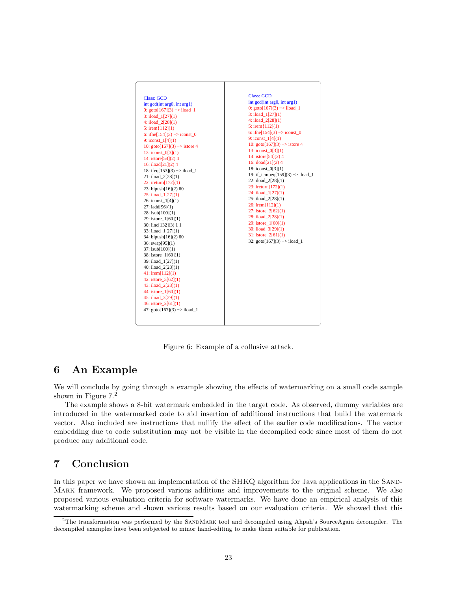

Figure 6: Example of a collusive attack.

## 6 An Example

We will conclude by going through a example showing the effects of watermarking on a small code sample shown in Figure  $7<sup>2</sup>$ 

The example shows a 8-bit watermark embedded in the target code. As observed, dummy variables are introduced in the watermarked code to aid insertion of additional instructions that build the watermark vector. Also included are instructions that nullify the effect of the earlier code modifications. The vector embedding due to code substitution may not be visible in the decompiled code since most of them do not produce any additional code.

## 7 Conclusion

In this paper we have shown an implementation of the SHKQ algorithm for Java applications in the SAND-Mark framework. We proposed various additions and improvements to the original scheme. We also proposed various evaluation criteria for software watermarks. We have done an empirical analysis of this watermarking scheme and shown various results based on our evaluation criteria. We showed that this

<sup>&</sup>lt;sup>2</sup>The transformation was performed by the SANDMARK tool and decompiled using Ahpah's SourceAgain decompiler. The decompiled examples have been subjected to minor hand-editing to make them suitable for publication.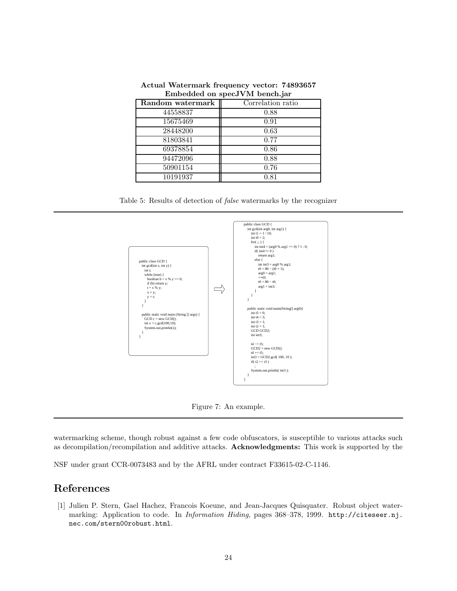| $\frac{1}{2}$    |                   |  |  |  |  |
|------------------|-------------------|--|--|--|--|
| Random watermark | Correlation ratio |  |  |  |  |
| 44558837         | 0.88              |  |  |  |  |
| 15675469         | 0.91              |  |  |  |  |
| 28448200         | 0.63              |  |  |  |  |
| 81803841         | 0.77              |  |  |  |  |
| 69378854         | 0.86              |  |  |  |  |
| 94472096         | 0.88              |  |  |  |  |
| 50901154         | 0.76              |  |  |  |  |
| 10191937         | 0.81              |  |  |  |  |

Actual Watermark frequency vector: 74893657 Embedded on specJVM bench.jar

Table 5: Results of detection of false watermarks by the recognizer



Figure 7: An example.

watermarking scheme, though robust against a few code obfuscators, is susceptible to various attacks such as decompilation/recompilation and additive attacks. Acknowledgments: This work is supported by the

NSF under grant CCR-0073483 and by the AFRL under contract F33615-02-C-1146.

## References

[1] Julien P. Stern, Gael Hachez, Francois Koeune, and Jean-Jacques Quisquater. Robust object watermarking: Application to code. In Information Hiding, pages 368–378, 1999. http://citeseer.nj. nec.com/stern00robust.html.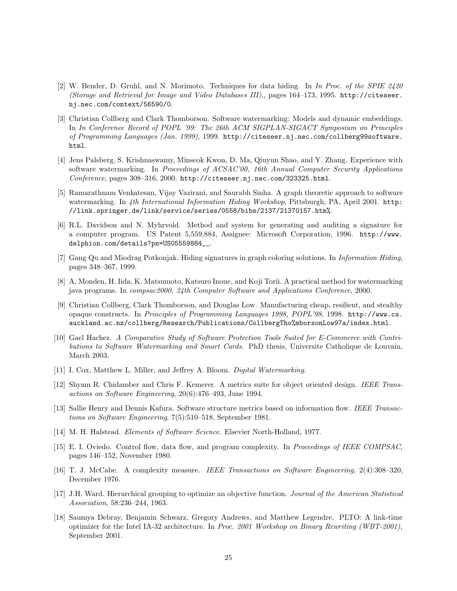- [2] W. Bender, D. Gruhl, and N. Morimoto. Techniques for data hiding. In In Proc. of the SPIE 2420 (Storage and Retrieval for Image and Video Databases III),, pages 164–173, 1995. http://citeseer. nj.nec.com/context/56590/0.
- [3] Christian Collberg and Clark Thomborson. Software watermarking: Models and dynamic embeddings. In In Conference Record of POPL '99: The 26th ACM SIGPLAN-SIGACT Symposium on Principles of Programming Languages (Jan. 1999), 1999. http://citeseer.nj.nec.com/collberg99software. html.
- [4] Jens Palsberg, S. Krishnaswamy, Minseok Kwon, D. Ma, Qiuyun Shao, and Y. Zhang. Experience with software watermarking. In Proceedings of ACSAC'00, 16th Annual Computer Security Applications Conference, pages 308–316, 2000. http://citeseer.nj.nec.com/323325.html.
- [5] Ramarathnam Venkatesan, Vijay Vazirani, and Saurabh Sinha. A graph theoretic approach to software watermarking. In 4th International Information Hiding Workshop, Pittsburgh, PA, April 2001. http: //link.springer.de/link/service/series/0558/bibs/2137/21370157.htm%.
- [6] R.L. Davidson and N. Myhrvold. Method and system for generating and auditing a signature for a computer program. US Patent 5,559,884, Assignee: Microsoft Corporation, 1996. http://www. delphion.com/details?pn=US05559884\_\_.
- [7] Gang Qu and Miodrag Potkonjak. Hiding signatures in graph coloring solutions. In Information Hiding, pages 348–367, 1999.
- [8] A. Monden, H. Iida, K. Matsumoto, Katsuro Inoue, and Koji Torii. A practical method for watermarking java programs. In compsac2000, 24th Computer Software and Applications Conference, 2000.
- [9] Christian Collberg, Clark Thomborson, and Douglas Low. Manufacturing cheap, resilient, and stealthy opaque constructs. In Principles of Programming Languages 1998, POPL'98, 1998. http://www.cs. auckland.ac.nz/collberg/Research/Publications/CollbergTho%mborsonLow97a/index.html.
- [10] Gael Hachez. A Comparative Study of Software Protection Tools Suited for E-Commerce with Contributions to Software Watermarking and Smart Cards. PhD thesis, Universite Catholique de Louvain, March 2003.
- [11] I. Cox, Matthew L. Miller, and Jeffrey A. Bloom. Digital Watermarking.
- [12] Shyam R. Chidamber and Chris F. Kemerer. A metrics suite for object oriented design. IEEE Transactions on Software Engineering, 20(6):476–493, June 1994.
- [13] Sallie Henry and Dennis Kafura. Software structure metrics based on information flow. IEEE Transactions on Software Engineering, 7(5):510–518, September 1981.
- [14] M. H. Halstead. Elements of Software Science. Elsevier North-Holland, 1977.
- [15] E. I. Oviedo. Control flow, data flow, and program complexity. In Proceedings of IEEE COMPSAC, pages 146–152, November 1980.
- [16] T. J. McCabe. A complexity measure. IEEE Transactions on Software Engineering, 2(4):308–320, December 1976.
- [17] J.H. Ward. Hierarchical grouping to optimize an objective function. Journal of the American Statistical Association, 58:236–244, 1963.
- [18] Saumya Debray, Benjamin Schwarz, Gregory Andrews, and Matthew Legendre. PLTO: A link-time optimizer for the Intel IA-32 architecture. In Proc. 2001 Workshop on Binary Rewriting (WBT-2001), September 2001.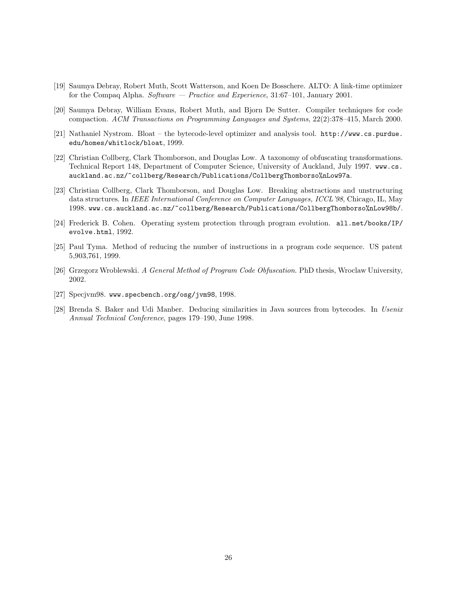- [19] Saumya Debray, Robert Muth, Scott Watterson, and Koen De Bosschere. ALTO: A link-time optimizer for the Compaq Alpha. Software — Practice and Experience, 31:67–101, January 2001.
- [20] Saumya Debray, William Evans, Robert Muth, and Bjorn De Sutter. Compiler techniques for code compaction. ACM Transactions on Programming Languages and Systems, 22(2):378–415, March 2000.
- [21] Nathaniel Nystrom. Bloat the bytecode-level optimizer and analysis tool. http://www.cs.purdue. edu/homes/whitlock/bloat, 1999.
- [22] Christian Collberg, Clark Thomborson, and Douglas Low. A taxonomy of obfuscating transformations. Technical Report 148, Department of Computer Science, University of Auckland, July 1997. www.cs. auckland.ac.nz/~collberg/Research/Publications/CollbergThomborso%nLow97a.
- [23] Christian Collberg, Clark Thomborson, and Douglas Low. Breaking abstractions and unstructuring data structures. In IEEE International Conference on Computer Languages, ICCL'98, Chicago, IL, May 1998. www.cs.auckland.ac.nz/~collberg/Research/Publications/CollbergThomborso%nLow98b/.
- [24] Frederick B. Cohen. Operating system protection through program evolution. all.net/books/IP/ evolve.html, 1992.
- [25] Paul Tyma. Method of reducing the number of instructions in a program code sequence. US patent 5,903,761, 1999.
- [26] Grzegorz Wroblewski. A General Method of Program Code Obfuscation. PhD thesis, Wroclaw University, 2002.
- [27] Specjvm98. www.specbench.org/osg/jvm98, 1998.
- [28] Brenda S. Baker and Udi Manber. Deducing similarities in Java sources from bytecodes. In Usenix Annual Technical Conference, pages 179–190, June 1998.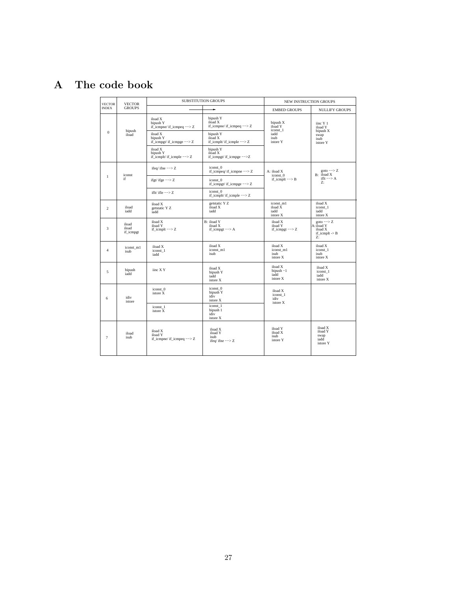# A The code book

| <b>VECTOR</b><br><b>VECTOR</b> |                             |                                                                      | <b>SUBSTITUTION GROUPS</b>                               | NEW INSTRUCTION GROUPS                                |                                                                                  |  |
|--------------------------------|-----------------------------|----------------------------------------------------------------------|----------------------------------------------------------|-------------------------------------------------------|----------------------------------------------------------------------------------|--|
| <b>INDEX</b>                   | <b>GROUPS</b>               |                                                                      |                                                          | <b>EMBED GROUPS</b>                                   | <b>NULLIFY GROUPS</b>                                                            |  |
|                                |                             | iload X<br>bipush Y<br>if_icmpne/ if_icmpeq $\rightarrow$ Z          | bipush Y<br>iload X<br>if_icmpne/if_icmpeq --> Z         | bipush X<br>iload Y<br>iconst 1                       | iinc Y 1<br>iload Y<br>bipush X<br>swap<br>isub<br>istore Y                      |  |
| $\theta$                       | bipush<br>iload             | iload X<br>bipush Y<br>if_icmpgt/ if_icmpge $\rightarrow$ $\geq$ Z   | bipush Y<br>iload X<br>if_icmplt/ if_icmple --> Z        | iadd<br>isub<br>istore Y                              |                                                                                  |  |
|                                |                             | iload X<br>bipush Y<br>if _icmplt/ if _icmple $\rightarrow$ $\geq$ Z | bipush Y<br>iload X<br>if_icmpgt/ if_icmpge -->Z         |                                                       |                                                                                  |  |
|                                | iconst                      | ifeq/ ifne $\rightarrow$ Z                                           | iconst 0<br>if icmpeq/ if icmpne $\rightarrow$ $\geq$ Z  | A: iload X<br>iconst 0                                | $goto \rightarrow Z$<br>$B:$ iload X                                             |  |
| $\mathbf{1}$                   | if                          | ifgt/ifge $\rightarrow$ Z                                            | iconst 0<br>if_icmpgt/ if_icmpge --> Z                   | if icmplt $\rightarrow$ B                             | ifl $t \rightarrow A$<br>7:                                                      |  |
|                                |                             | iflt/ ifle $\rightarrow$ Z                                           | iconst 0<br>if_icmplt/ if_icmple --> Z                   |                                                       |                                                                                  |  |
| $\overline{c}$                 | iload<br>iadd               | iload X<br>getstatic Y Z<br>iadd                                     | getstatic Y Z<br>iload X<br>iadd                         | iconst m1<br>iload $\overline{X}$<br>iadd<br>istore X | iload X<br>iconst 1<br>iadd<br>istore X                                          |  |
| 3                              | iload<br>iload<br>if icmpgt | iload X<br>iload Y<br>if icmplt $\rightarrow$ Z                      | B: iload Y<br>iload X<br>if icmpgt $\rightarrow$ A       | iload X<br>iload Y<br>if icmpgt $\rightarrow$ Z       | goto $\rightarrow$ Z<br>A: iload Y<br>iload X<br>if icmplt $\rightarrow$ B<br>zī |  |
| $\overline{4}$                 | iconst m1<br>isub           | iload X<br>iconst 1<br>iadd                                          | iload X<br>iconst m1<br>isub                             | iload X<br>iconst m1<br>isub<br>istore X              | iload X<br>iconst 1<br>isub<br>istore X                                          |  |
| 5                              | bipush<br>iadd              | iinc X Y                                                             | iload X<br>bipush Y<br>iadd<br>istore X                  | iload X<br>$bipush -1$<br>iadd<br>istore X            | iload X<br>iconst 1<br>iadd<br>istore X                                          |  |
| 6                              | idiv<br>istore              | iconst_0<br>istore X                                                 | iconst 0<br>bipush Y<br>idiv<br>istore X                 | iload X<br>iconst 1<br>idiv<br>istore X               |                                                                                  |  |
|                                |                             | iconst 1<br>istore X                                                 | iconst 1<br>bipush 1<br>idiv<br>istore X                 |                                                       |                                                                                  |  |
| $\overline{7}$                 | iload<br>isub               | iload X<br>iload Y<br>if icmpne/ if icmpeq $\rightarrow$ $\geq$ Z    | iload X<br>iload Y<br>isub<br>ifeq/ ifne $\rightarrow$ Z | iload Y<br>iload X<br>isub<br>istore Y                | iload X<br>iload Y<br>swap<br>iadd<br>istore Y                                   |  |